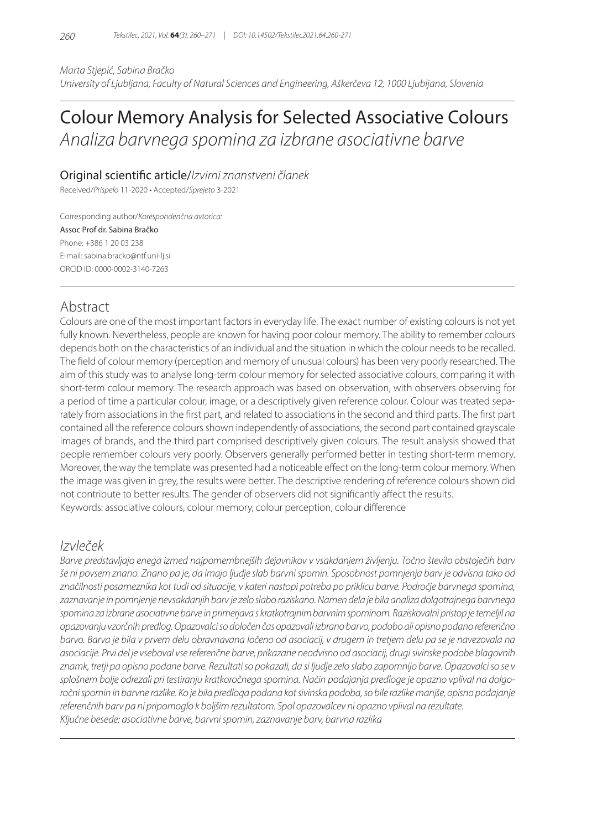*Marta Stjepić, Sabina Bračko University of Ljubljana, Faculty of Natural Sciences and Engineering, Aškerčeva 12, 1000 Ljubljana, Slovenia*

# Colour Memory Analysis for Selected Associative Colours *Analiza barvnega spomina za izbrane asociativne barve*

Original scientific article/*Izvirni znanstveni članek*

Received/*Prispelo* 11-2020 • Accepted/*Sprejeto* 3-2021

Corresponding author/*Korespondenčna avtorica:*

Assoc Prof dr. Sabina Bračko Phone: +386 1 20 03 238 E-mail: sabina.bracko@ntf.uni-lj.si ORCID ID: 0000-0002-3140-7263

# Abstract

Colours are one of the most important factors in everyday life. The exact number of existing colours is not yet fully known. Nevertheless, people are known for having poor colour memory. The ability to remember colours depends both on the characteristics of an individual and the situation in which the colour needs to be recalled. The field of colour memory (perception and memory of unusual colours) has been very poorly researched. The aim of this study was to analyse long-term colour memory for selected associative colours, comparing it with short-term colour memory. The research approach was based on observation, with observers observing for a period of time a particular colour, image, or a descriptively given reference colour. Colour was treated separately from associations in the first part, and related to associations in the second and third parts. The first part contained all the reference colours shown independently of associations, the second part contained grayscale images of brands, and the third part comprised descriptively given colours. The result analysis showed that people remember colours very poorly. Observers generally performed better in testing short-term memory. Moreover, the way the template was presented had a noticeable effect on the long-term colour memory. When the image was given in grey, the results were better. The descriptive rendering of reference colours shown did not contribute to better results. The gender of observers did not significantly affect the results. Keywords: associative colours, colour memory, colour perception, colour difference

# *Izvleček*

*Barve predstavljajo enega izmed najpomembnejših dejavnikov v vsakdanjem življenju. Točno število obstoječih barv še ni povsem znano. Znano pa je, da imajo ljudje slab barvni spomin. Sposobnost pomnjenja barv je odvisna tako od značilnosti posameznika kot tudi od situacije, v kateri nastopi potreba po priklicu barve. Področje barvnega spomina, zaznavanje in pomnjenje nevsakdanjih barv je zelo slabo raziskano. Namen dela je bila analiza dolgotrajnega barvnega spomina za izbrane asociativne barve in primerjava s kratkotrajnim barvnim spominom. Raziskovalni pristop je temeljil na opazovanju vzorčnih predlog. Opazovalci so določen čas opazovali izbrano barvo, podobo ali opisno podano referenčno barvo. Barva je bila v prvem delu obravnavana ločeno od asociacij, v drugem in tretjem delu pa se je navezovala na asociacije. Prvi del je vseboval vse referenčne barve, prikazane neodvisno od asociacij, drugi sivinske podobe blagovnih znamk, tretji pa opisno podane barve. Rezultati so pokazali, da si ljudje zelo slabo zapomnijo barve. Opazovalci so se v splošnem bolje odrezali pri testiranju kratkoročnega spomina. Način podajanja predloge je opazno vplival na dolgoročni spomin in barvne razlike. Ko je bila predloga podana kot sivinska podoba, so bile razlike manjše, opisno podajanje referenčnih barv pa ni pripomoglo k boljšim rezultatom. Spol opazovalcev ni opazno vplival na rezultate. Ključne besede: asociativne barve, barvni spomin, zaznavanje barv, barvna razlika*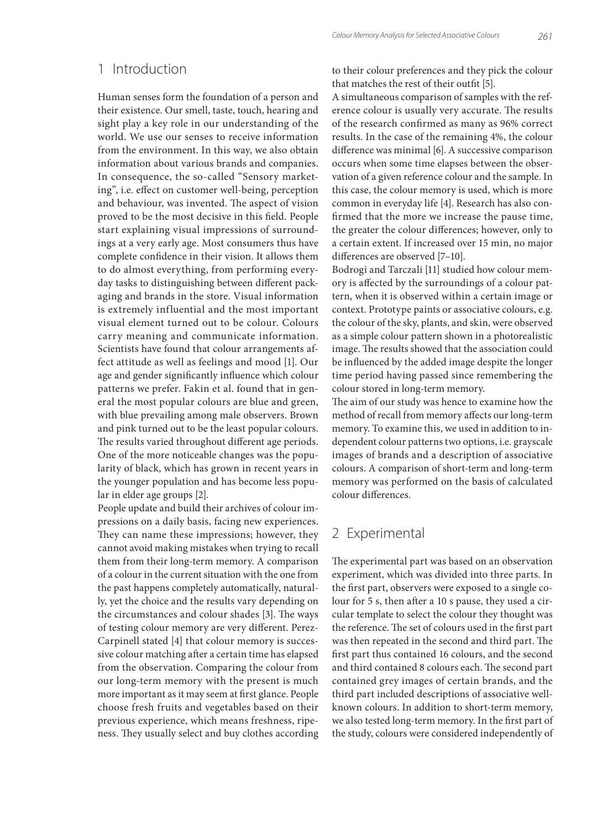# 1 Introduction

Human senses form the foundation of a person and their existence. Our smell, taste, touch, hearing and sight play a key role in our understanding of the world. We use our senses to receive information from the environment. In this way, we also obtain information about various brands and companies. In consequence, the so-called "Sensory marketing", i.e. effect on customer well-being, perception and behaviour, was invented. The aspect of vision proved to be the most decisive in this field. People start explaining visual impressions of surroundings at a very early age. Most consumers thus have complete confidence in their vision. It allows them to do almost everything, from performing everyday tasks to distinguishing between different packaging and brands in the store. Visual information is extremely influential and the most important visual element turned out to be colour. Colours carry meaning and communicate information. Scientists have found that colour arrangements affect attitude as well as feelings and mood [1]. Our age and gender significantly influence which colour patterns we prefer. Fakin et al. found that in general the most popular colours are blue and green, with blue prevailing among male observers. Brown and pink turned out to be the least popular colours. The results varied throughout different age periods. One of the more noticeable changes was the popularity of black, which has grown in recent years in the younger population and has become less popular in elder age groups [2].

People update and build their archives of colour impressions on a daily basis, facing new experiences. They can name these impressions; however, they cannot avoid making mistakes when trying to recall them from their long-term memory. A comparison of a colour in the current situation with the one from the past happens completely automatically, naturally, yet the choice and the results vary depending on the circumstances and colour shades [3]. The ways of testing colour memory are very different. Perez-Carpinell stated [4] that colour memory is successive colour matching after a certain time has elapsed from the observation. Comparing the colour from our long-term memory with the present is much more important as it may seem at first glance. People choose fresh fruits and vegetables based on their previous experience, which means freshness, ripeness. They usually select and buy clothes according

to their colour preferences and they pick the colour that matches the rest of their outfit [5].

A simultaneous comparison of samples with the reference colour is usually very accurate. The results of the research confirmed as many as 96% correct results. In the case of the remaining 4%, the colour difference was minimal [6]. A successive comparison occurs when some time elapses between the observation of a given reference colour and the sample. In this case, the colour memory is used, which is more common in everyday life [4]. Research has also confirmed that the more we increase the pause time, the greater the colour differences; however, only to a certain extent. If increased over 15 min, no major differences are observed [7–10].

Bodrogi and Tarczali [11] studied how colour memory is affected by the surroundings of a colour pattern, when it is observed within a certain image or context. Prototype paints or associative colours, e.g. the colour of the sky, plants, and skin, were observed as a simple colour pattern shown in a photorealistic image. The results showed that the association could be influenced by the added image despite the longer time period having passed since remembering the colour stored in long-term memory.

The aim of our study was hence to examine how the method of recall from memory affects our long-term memory. To examine this, we used in addition to independent colour patterns two options, i.e. grayscale images of brands and a description of associative colours. A comparison of short-term and long-term memory was performed on the basis of calculated colour differences.

# 2 Experimental

The experimental part was based on an observation experiment, which was divided into three parts. In the first part, observers were exposed to a single colour for 5 s, then after a 10 s pause, they used a circular template to select the colour they thought was the reference. The set of colours used in the first part was then repeated in the second and third part. The first part thus contained 16 colours, and the second and third contained 8 colours each. The second part contained grey images of certain brands, and the third part included descriptions of associative wellknown colours. In addition to short-term memory, we also tested long-term memory. In the first part of the study, colours were considered independently of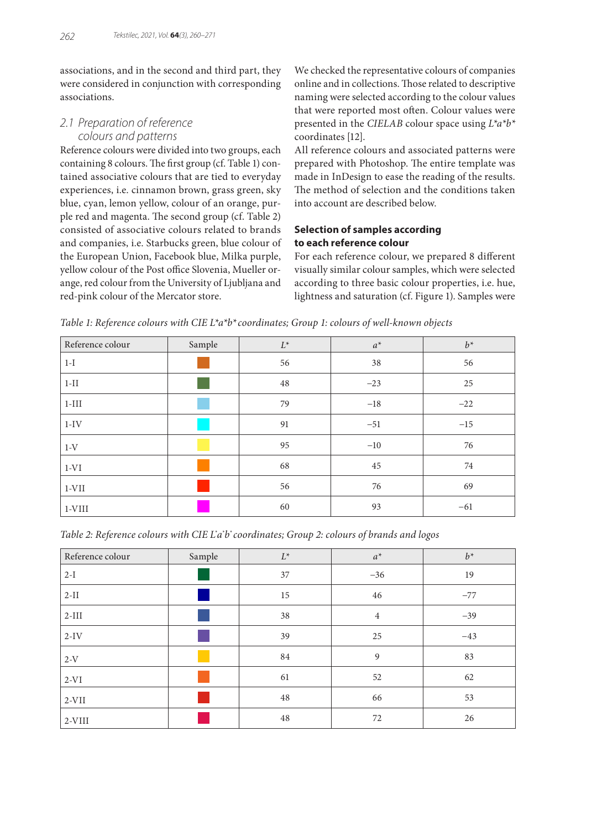associations, and in the second and third part, they were considered in conjunction with corresponding associations.

# *2.1 Preparation of reference colours and patterns*

Reference colours were divided into two groups, each containing 8 colours. The first group (cf. Table 1) contained associative colours that are tied to everyday experiences, i.e. cinnamon brown, grass green, sky blue, cyan, lemon yellow, colour of an orange, purple red and magenta. The second group (cf. Table 2) consisted of associative colours related to brands and companies, i.e. Starbucks green, blue colour of the European Union, Facebook blue, Milka purple, yellow colour of the Post office Slovenia, Mueller orange, red colour from the University of Ljubljana and red-pink colour of the Mercator store.

We checked the representative colours of companies online and in collections. Those related to descriptive naming were selected according to the colour values that were reported most often. Colour values were presented in the *CIELAB* colour space using *L\*a\*b\** coordinates [12].

All reference colours and associated patterns were prepared with Photoshop. The entire template was made in InDesign to ease the reading of the results. The method of selection and the conditions taken into account are described below.

## **Selection of samples according to each reference colour**

For each reference colour, we prepared 8 different visually similar colour samples, which were selected according to three basic colour properties, i.e. hue, lightness and saturation (cf. Figure 1). Samples were

| Reference colour | Sample | $L^*$ | $a^*$ | $b^*$ |  |
|------------------|--------|-------|-------|-------|--|
| $1-I$            |        | 56    | 38    | 56    |  |
| $1-II$           |        | 48    | $-23$ | 25    |  |
| $1-III$          |        | 79    | $-18$ | $-22$ |  |
| $1-IV$           |        | 91    | $-51$ | $-15$ |  |
| $1-V$            |        | 95    | $-10$ | 76    |  |
| $1-VI$           |        | 68    | 45    | 74    |  |
| $1-VII$          |        | 56    | 76    | 69    |  |
| $ 1-VIII $       |        | 60    | 93    | $-61$ |  |

*Table 1: Reference colours with CIE L\*a\*b\*coordinates; Group 1: colours of well-known objects*

| Table 2: Reference colours with CIE L'a'b' coordinates; Group 2: colours of brands and logos |  |  |  |  |
|----------------------------------------------------------------------------------------------|--|--|--|--|
|                                                                                              |  |  |  |  |

| Reference colour | Sample | $L^*$ | $a^*$          | $b^*$ |  |
|------------------|--------|-------|----------------|-------|--|
| $2-I$            |        | 37    | $-36$          | 19    |  |
| $2-II$           |        | 15    | 46             | $-77$ |  |
| $2-III$          |        | 38    | $\overline{4}$ |       |  |
| $2-IV$           |        | 39    | 25             | $-43$ |  |
| $2-V$            |        | 84    | 9              | 83    |  |
| $2-VI$           |        | 61    | 52             | 62    |  |
| $2-VII$          |        | 48    | 66             | 53    |  |
| $2-VIII$         |        | 48    | 72             | 26    |  |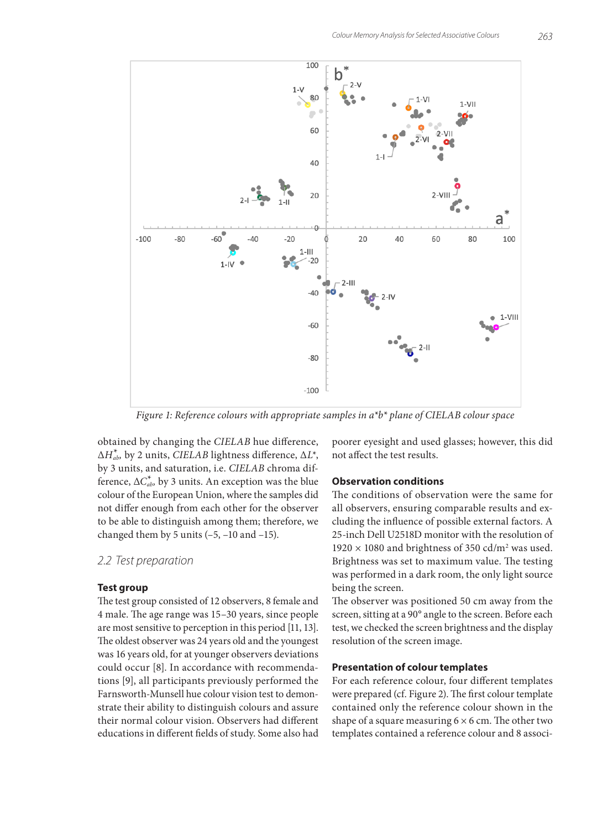

*Figure 1: Reference colours with appropriate samples in a\*b\* plane of CIELAB colour space*

obtained by changing the *CIELAB* hue difference, Δ*H\* ab,* by 2 units, *CIELAB* lightness difference, ∆*L*\*, by 3 units, and saturation, i.e. *CIELAB* chroma difference,  $\Delta C^*_{ab}$ , by 3 units. An exception was the blue colour of the European Union, where the samples did not differ enough from each other for the observer to be able to distinguish among them; therefore, we changed them by 5 units  $(-5, -10 \text{ and } -15)$ .

*2.2 Test preparation*

#### **Test group**

The test group consisted of 12 observers, 8 female and 4 male. The age range was 15–30 years, since people are most sensitive to perception in this period [11, 13]. The oldest observer was 24 years old and the youngest was 16 years old, for at younger observers deviations could occur [8]. In accordance with recommendations [9], all participants previously performed the Farnsworth-Munsell hue colour vision test to demonstrate their ability to distinguish colours and assure their normal colour vision. Observers had different educations in different fields of study. Some also had poorer eyesight and used glasses; however, this did not affect the test results.

#### **Observation conditions**

The conditions of observation were the same for all observers, ensuring comparable results and excluding the influence of possible external factors. A 25-inch Dell U2518D monitor with the resolution of  $1920 \times 1080$  and brightness of 350 cd/m<sup>2</sup> was used. Brightness was set to maximum value. The testing was performed in a dark room, the only light source being the screen.

The observer was positioned 50 cm away from the screen, sitting at a 90° angle to the screen. Before each test, we checked the screen brightness and the display resolution of the screen image.

#### **Presentation of colour templates**

For each reference colour, four different templates were prepared (cf. Figure 2). The first colour template contained only the reference colour shown in the shape of a square measuring  $6 \times 6$  cm. The other two templates contained a reference colour and 8 associ-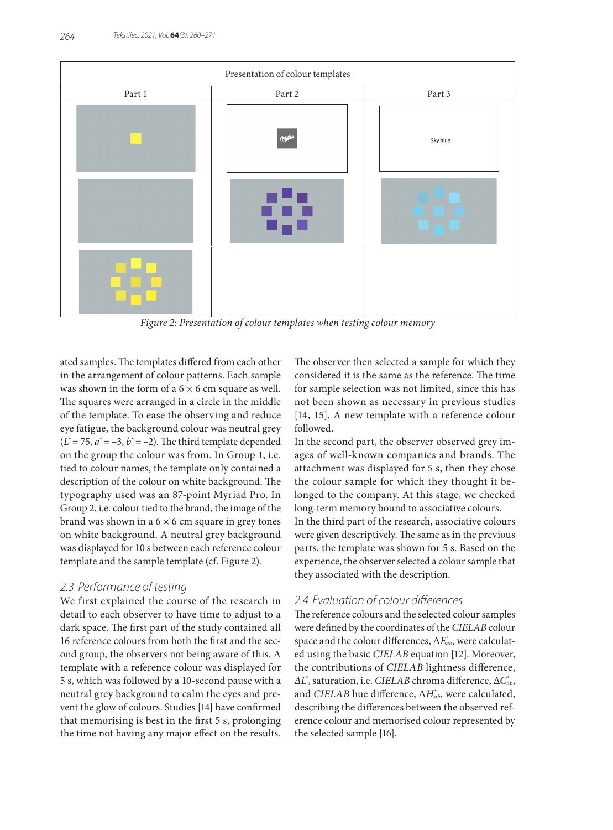

*Figure 2: Presentation of colour templates when testing colour memory*

ated samples. The templates differed from each other in the arrangement of colour patterns. Each sample was shown in the form of a  $6 \times 6$  cm square as well. The squares were arranged in a circle in the middle of the template. To ease the observing and reduce eye fatigue, the background colour was neutral grey  $(L^* = 75, a^* = -3, b^* = -2)$ . The third template depended on the group the colour was from. In Group 1, i.e. tied to colour names, the template only contained a description of the colour on white background. The typography used was an 87-point Myriad Pro. In Group 2, i.e. colour tied to the brand, the image of the brand was shown in a  $6 \times 6$  cm square in grey tones on white background. A neutral grey background was displayed for 10 s between each reference colour template and the sample template (cf. Figure 2).

## *2.3 Performance of testing*

We first explained the course of the research in detail to each observer to have time to adjust to a dark space. The first part of the study contained all 16 reference colours from both the first and the second group, the observers not being aware of this. A template with a reference colour was displayed for 5 s, which was followed by a 10-second pause with a neutral grey background to calm the eyes and prevent the glow of colours. Studies [14] have confirmed that memorising is best in the first 5 s, prolonging the time not having any major effect on the results.

The observer then selected a sample for which they considered it is the same as the reference. The time for sample selection was not limited, since this has not been shown as necessary in previous studies [14, 15]. A new template with a reference colour followed.

In the second part, the observer observed grey images of well-known companies and brands. The attachment was displayed for 5 s, then they chose the colour sample for which they thought it belonged to the company. At this stage, we checked long-term memory bound to associative colours. In the third part of the research, associative colours were given descriptively. The same as in the previous parts, the template was shown for 5 s. Based on the experience, the observer selected a colour sample that they associated with the description.

# *2.4 Evaluation of colour differences*

The reference colours and the selected colour samples were defined by the coordinates of the *CIELAB* colour space and the colour differences, Δ*E\* ab,* were calculated using the basic *CIELAB* equation [12]. Moreover, the contributions of *CIELAB* lightness difference, *∆L\** , saturation, i.e. *CIELAB* chroma difference, Δ*C\* ab*, and *CIELAB* hue difference, Δ*H\* ab*, were calculated, describing the differences between the observed reference colour and memorised colour represented by the selected sample [16].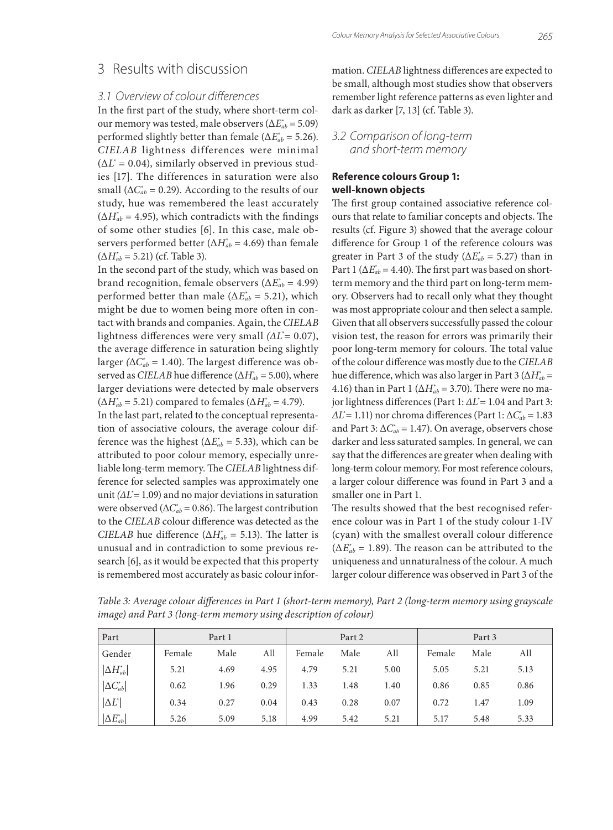## *3.1 Overview of colour differences*

In the first part of the study, where short-term colour memory was tested, male observers (Δ*E\* ab* = 5.09) performed slightly better than female ( $\Delta E_{ab}^* = 5.26$ ). *CIELAB* lightness differences were minimal (∆*L\** = 0.04), similarly observed in previous studies [17]. The differences in saturation were also small ( $\Delta C_{ab}^* = 0.29$ ). According to the results of our study, hue was remembered the least accurately  $(\Delta H_{ab}^* = 4.95)$ , which contradicts with the findings of some other studies [6]. In this case, male observers performed better ( $\Delta H_{ab}^* = 4.69$ ) than female (Δ*H\* ab* = 5.21) (cf. Table 3).

In the second part of the study, which was based on brand recognition, female observers (Δ*E\* ab* = 4.99) performed better than male ( $\Delta E_{ab}^* = 5.21$ ), which might be due to women being more often in contact with brands and companies. Again, the *CIELAB* lightness differences were very small *(∆L\** = 0.07), the average difference in saturation being slightly larger *(*ΔC $^*_{ab}$  = 1.40). The largest difference was observed as *CIELAB* hue difference ( $\Delta H_{ab}^*$  = 5.00), where larger deviations were detected by male observers  $(\Delta H_{ab}^* = 5.21)$  compared to females  $(\Delta H_{ab}^* = 4.79)$ .

In the last part, related to the conceptual representation of associative colours, the average colour difference was the highest ( $\Delta E^*_{ab} = 5.33$ ), which can be attributed to poor colour memory, especially unreliable long-term memory. The *CIELAB* lightness difference for selected samples was approximately one unit *(∆L\** = 1.09) and no major deviations in saturation were observed ( $\Delta C_{ab}^*$  = 0.86). The largest contribution to the *CIELAB* colour difference was detected as the *CIELAB* hue difference ( $\Delta H_{ab}^* = 5.13$ ). The latter is unusual and in contradiction to some previous research [6], as it would be expected that this property is remembered most accurately as basic colour information. *CIELAB* lightness differences are expected to be small, although most studies show that observers remember light reference patterns as even lighter and dark as darker [7, 13] (cf. Table 3).

## *3.2 Comparison of long-term and short-term memory*

### **Reference colours Group 1: well-known objects**

The first group contained associative reference colours that relate to familiar concepts and objects. The results (cf. Figure 3) showed that the average colour difference for Group 1 of the reference colours was greater in Part 3 of the study ( $\Delta E_{ab}^* = 5.27$ ) than in Part 1 ( $\Delta E^*_{ab}$  = 4.40). The first part was based on shortterm memory and the third part on long-term memory. Observers had to recall only what they thought was most appropriate colour and then select a sample. Given that all observers successfully passed the colour vision test, the reason for errors was primarily their poor long-term memory for colours. The total value of the colour difference was mostly due to the *CIELAB* hue difference, which was also larger in Part 3 (Δ*H\* ab* = 4.16) than in Part 1 ( $\Delta H_{ab}^* = 3.70$ ). There were no major lightness differences (Part 1: *∆L\** = 1.04 and Part 3: *∆L\** = 1.11) nor chroma differences (Part 1: Δ*C\* ab* = 1.83 and Part 3:  $\Delta C_{ab}^* = 1.47$ ). On average, observers chose darker and less saturated samples. In general, we can say that the differences are greater when dealing with long-term colour memory. For most reference colours, a larger colour difference was found in Part 3 and a smaller one in Part 1.

The results showed that the best recognised reference colour was in Part 1 of the study colour 1-IV (cyan) with the smallest overall colour difference  $(\Delta E_{ab}^* = 1.89)$ . The reason can be attributed to the uniqueness and unnaturalness of the colour. A much larger colour difference was observed in Part 3 of the

*Table 3: Average colour differences in Part 1 (short-term memory), Part 2 (long-term memory using grayscale image) and Part 3 (long-term memory using description of colour)*

| Part                | Part 1 |      |      | Part 2 |      |      | Part 3 |      |      |
|---------------------|--------|------|------|--------|------|------|--------|------|------|
| Gender              | Female | Male | All  | Female | Male | All  | Female | Male | All  |
| $ \Delta H^*_{ab} $ | 5.21   | 4.69 | 4.95 | 4.79   | 5.21 | 5.00 | 5.05   | 5.21 | 5.13 |
| $ \Delta C^*_{ab} $ | 0.62   | 1.96 | 0.29 | 1.33   | 1.48 | 1.40 | 0.86   | 0.85 | 0.86 |
| $ \Delta L^* $      | 0.34   | 0.27 | 0.04 | 0.43   | 0.28 | 0.07 | 0.72   | 1.47 | 1.09 |
| $ \Delta E^*_{ab} $ | 5.26   | 5.09 | 5.18 | 4.99   | 5.42 | 5.21 | 5.17   | 5.48 | 5.33 |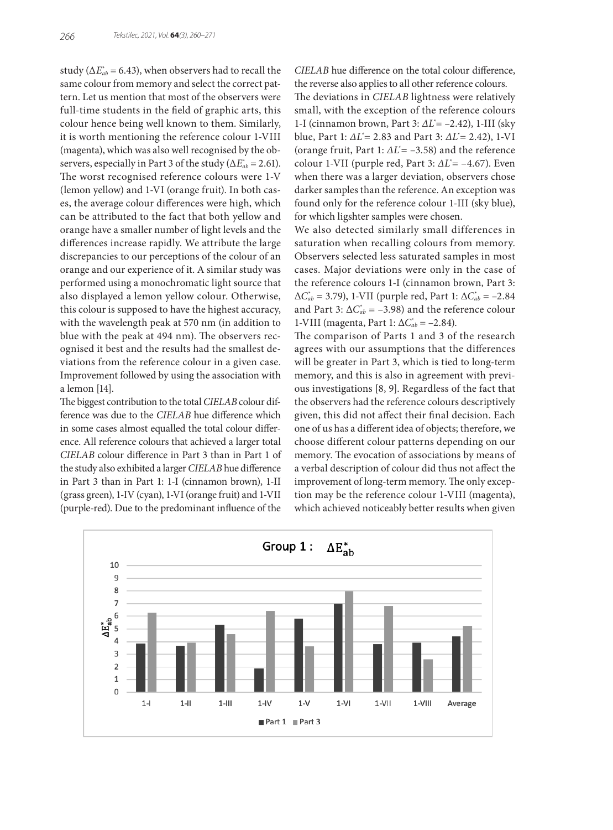study ( $\Delta E^*_{ab}$  = 6.43), when observers had to recall the same colour from memory and select the correct pattern. Let us mention that most of the observers were full-time students in the field of graphic arts, this colour hence being well known to them. Similarly, it is worth mentioning the reference colour 1-VIII (magenta), which was also well recognised by the observers, especially in Part 3 of the study (Δ*E\* ab* = 2.61). The worst recognised reference colours were 1-V (lemon yellow) and 1-VI (orange fruit). In both cases, the average colour differences were high, which can be attributed to the fact that both yellow and orange have a smaller number of light levels and the differences increase rapidly. We attribute the large discrepancies to our perceptions of the colour of an orange and our experience of it. A similar study was performed using a monochromatic light source that also displayed a lemon yellow colour. Otherwise, this colour is supposed to have the highest accuracy, with the wavelength peak at 570 nm (in addition to blue with the peak at 494 nm). The observers recognised it best and the results had the smallest deviations from the reference colour in a given case. Improvement followed by using the association with a lemon [14].

The biggest contribution to the total *CIELAB* colour difference was due to the *CIELAB* hue difference which in some cases almost equalled the total colour difference. All reference colours that achieved a larger total *CIELAB* colour difference in Part 3 than in Part 1 of the study also exhibited a larger *CIELAB* hue difference in Part 3 than in Part 1: 1-I (cinnamon brown), 1-II (grass green), 1-IV (cyan), 1-VI (orange fruit) and 1-VII (purple-red). Due to the predominant influence of the

*CIELAB* hue difference on the total colour difference, the reverse also applies to all other reference colours. The deviations in *CIELAB* lightness were relatively small, with the exception of the reference colours 1-I (cinnamon brown, Part 3: *∆L\** = –2.42), 1-III (sky blue, Part 1: *∆L\** = 2.83 and Part 3: *∆L\** = 2.42), 1-VI (orange fruit, Part 1: *∆L\** = –3.58) and the reference colour 1-VII (purple red, Part 3: *∆L\** = –4.67). Even when there was a larger deviation, observers chose darker samples than the reference. An exception was found only for the reference colour 1-III (sky blue), for which ligshter samples were chosen.

We also detected similarly small differences in saturation when recalling colours from memory. Observers selected less saturated samples in most cases. Major deviations were only in the case of the reference colours 1-I (cinnamon brown, Part 3: Δ*C\* ab* = 3.79), 1-VII (purple red, Part 1: Δ*C\* ab* = –2.84 and Part 3:  $\Delta C_{ab}^* = -3.98$ ) and the reference colour 1-VIII (magenta, Part 1: Δ $C_{ab}^*$  = -2.84).

The comparison of Parts 1 and 3 of the research agrees with our assumptions that the differences will be greater in Part 3, which is tied to long-term memory, and this is also in agreement with previous investigations [8, 9]. Regardless of the fact that the observers had the reference colours descriptively given, this did not affect their final decision. Each one of us has a different idea of objects; therefore, we choose different colour patterns depending on our memory. The evocation of associations by means of a verbal description of colour did thus not affect the improvement of long-term memory. The only exception may be the reference colour 1-VIII (magenta), which achieved noticeably better results when given

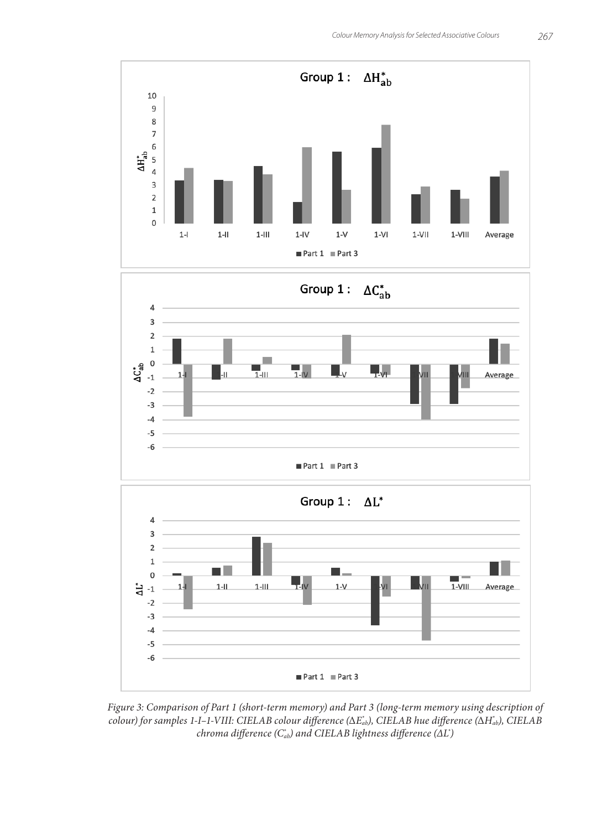



*Figure 3: Comparison of Part 1 (short-term memory) and Part 3 (long-term memory using description of colour) for samples 1-I–1-VIII: CIELAB colour difference (*Δ*E\* ab), CIELAB hue difference (*Δ*H\* ab), CIELAB chroma difference (C\* ab) and CIELAB lightness difference (∆L\* )*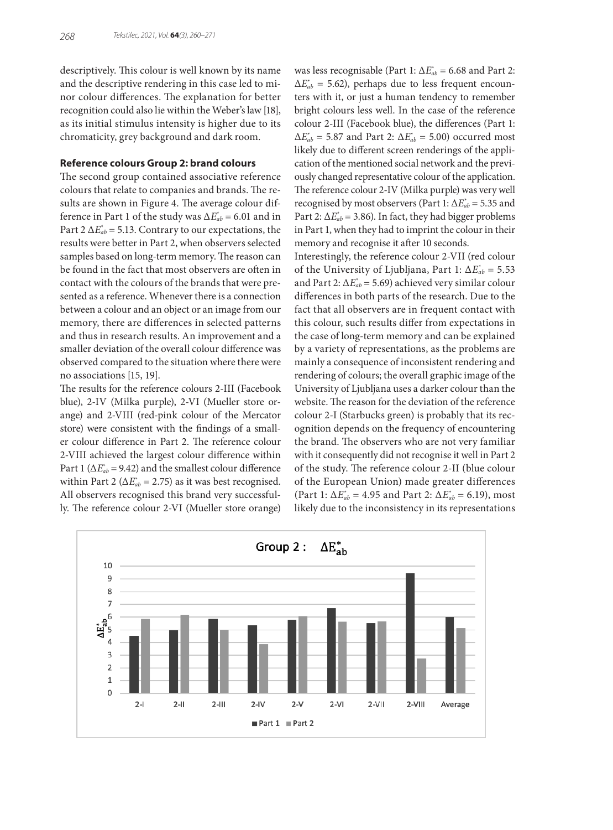descriptively. This colour is well known by its name and the descriptive rendering in this case led to minor colour differences. The explanation for better recognition could also lie within the Weber's law [18], as its initial stimulus intensity is higher due to its chromaticity, grey background and dark room.

#### **Reference colours Group 2: brand colours**

The second group contained associative reference colours that relate to companies and brands. The results are shown in Figure 4. The average colour difference in Part 1 of the study was  $\Delta E^*_{ab} = 6.01$  and in Part 2  $\Delta E^*_{ab}$  = 5.13. Contrary to our expectations, the results were better in Part 2, when observers selected samples based on long-term memory. The reason can be found in the fact that most observers are often in contact with the colours of the brands that were presented as a reference. Whenever there is a connection between a colour and an object or an image from our memory, there are differences in selected patterns and thus in research results. An improvement and a smaller deviation of the overall colour difference was observed compared to the situation where there were no associations [15, 19].

The results for the reference colours 2-III (Facebook blue), 2-IV (Milka purple), 2-VI (Mueller store orange) and 2-VIII (red-pink colour of the Mercator store) were consistent with the findings of a smaller colour difference in Part 2. The reference colour 2-VIII achieved the largest colour difference within Part 1 ( $\Delta E^*_{ab}$  = 9.42) and the smallest colour difference within Part 2 ( $\Delta E^*_{ab}$  = 2.75) as it was best recognised. All observers recognised this brand very successfully. The reference colour 2-VI (Mueller store orange)

was less recognisable (Part 1:  $\Delta E^*_{ab}$  = 6.68 and Part 2:  $\Delta E^*_{ab} = 5.62$ ), perhaps due to less frequent encounters with it, or just a human tendency to remember bright colours less well. In the case of the reference colour 2-III (Facebook blue), the differences (Part 1:  $\Delta E^*_{ab} = 5.87$  and Part 2:  $\Delta E^*_{ab} = 5.00$ ) occurred most likely due to different screen renderings of the application of the mentioned social network and the previously changed representative colour of the application. The reference colour 2-IV (Milka purple) was very well recognised by most observers (Part 1:  $\Delta E^*_{ab}$  = 5.35 and Part 2:  $\Delta E^*_{ab}$  = 3.86). In fact, they had bigger problems in Part 1, when they had to imprint the colour in their memory and recognise it after 10 seconds.

Interestingly, the reference colour 2-VII (red colour of the University of Ljubljana, Part 1: Δ*E\* ab* = 5.53 and Part 2:  $\Delta E^*_{ab}$  = 5.69) achieved very similar colour differences in both parts of the research. Due to the fact that all observers are in frequent contact with this colour, such results differ from expectations in the case of long-term memory and can be explained by a variety of representations, as the problems are mainly a consequence of inconsistent rendering and rendering of colours; the overall graphic image of the University of Ljubljana uses a darker colour than the website. The reason for the deviation of the reference colour 2-I (Starbucks green) is probably that its recognition depends on the frequency of encountering the brand. The observers who are not very familiar with it consequently did not recognise it well in Part 2 of the study. The reference colour 2-II (blue colour of the European Union) made greater differences (Part 1:  $\Delta E_{ab}^* = 4.95$  and Part 2:  $\Delta E_{ab}^* = 6.19$ ), most likely due to the inconsistency in its representations

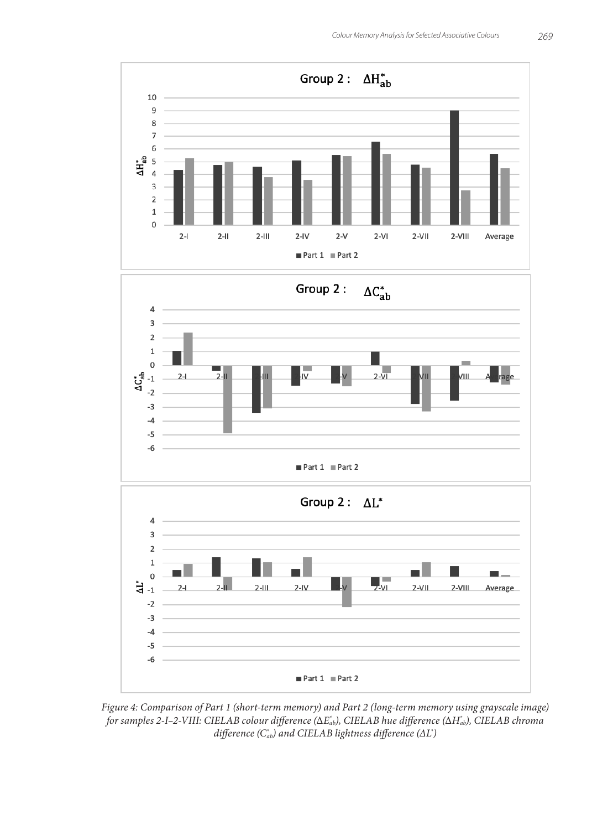

*Figure 4: Comparison of Part 1 (short-term memory) and Part 2 (long-term memory using grayscale image) for samples 2-I–2-VIII: CIELAB colour difference (*Δ*E\* ab), CIELAB hue difference (*Δ*H\* ab), CIELAB chroma difference (C\* ab) and CIELAB lightness difference (∆L\* )*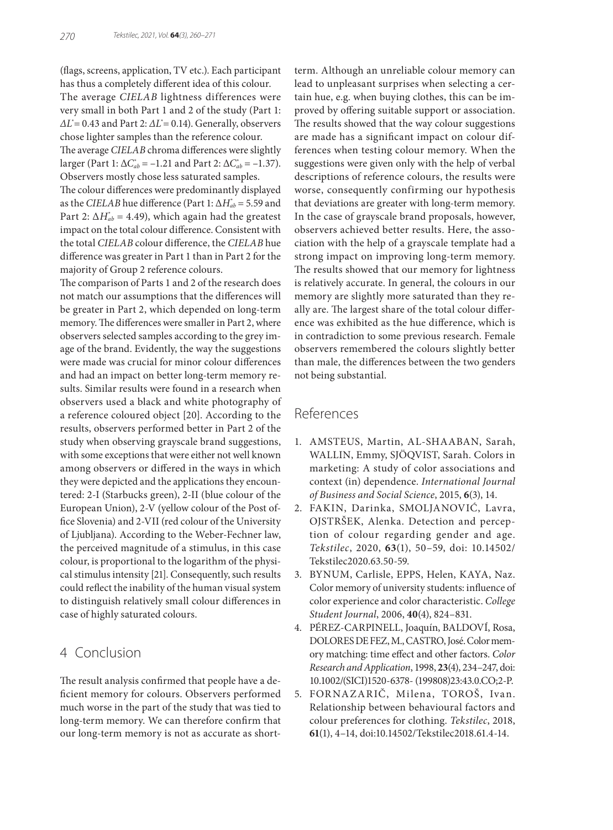(flags, screens, application, TV etc.). Each participant has thus a completely different idea of this colour. The average *CIELAB* lightness differences were very small in both Part 1 and 2 of the study (Part 1: *∆L\** = 0.43 and Part 2: *∆L\** = 0.14). Generally, observers chose lighter samples than the reference colour. The average *CIELAB* chroma differences were slightly  $\text{larger (Part 1: } \Delta C_{ab}^* = -1.21 \text{ and Part 2: } \Delta C_{ab}^* = -1.37).$ Observers mostly chose less saturated samples.

The colour differences were predominantly displayed as the *CIELAB* hue difference (Part 1:  $\Delta H_{ab}^*$  = 5.59 and Part 2:  $\Delta H_{ab}^*$  = 4.49), which again had the greatest impact on the total colour difference. Consistent with the total *CIELAB* colour difference, the *CIELAB* hue difference was greater in Part 1 than in Part 2 for the majority of Group 2 reference colours.

The comparison of Parts 1 and 2 of the research does not match our assumptions that the differences will be greater in Part 2, which depended on long-term memory. The differences were smaller in Part 2, where observers selected samples according to the grey image of the brand. Evidently, the way the suggestions were made was crucial for minor colour differences and had an impact on better long-term memory results. Similar results were found in a research when observers used a black and white photography of a reference coloured object [20]. According to the results, observers performed better in Part 2 of the study when observing grayscale brand suggestions, with some exceptions that were either not well known among observers or differed in the ways in which they were depicted and the applications they encountered: 2-I (Starbucks green), 2-II (blue colour of the European Union), 2-V (yellow colour of the Post office Slovenia) and 2-VII (red colour of the University of Ljubljana). According to the Weber-Fechner law, the perceived magnitude of a stimulus, in this case colour, is proportional to the logarithm of the physical stimulus intensity [21]. Consequently, such results could reflect the inability of the human visual system to distinguish relatively small colour differences in case of highly saturated colours.

# 4 Conclusion

The result analysis confirmed that people have a deficient memory for colours. Observers performed much worse in the part of the study that was tied to long-term memory. We can therefore confirm that our long-term memory is not as accurate as shortterm. Although an unreliable colour memory can lead to unpleasant surprises when selecting a certain hue, e.g. when buying clothes, this can be improved by offering suitable support or association. The results showed that the way colour suggestions are made has a significant impact on colour differences when testing colour memory. When the suggestions were given only with the help of verbal descriptions of reference colours, the results were worse, consequently confirming our hypothesis that deviations are greater with long-term memory. In the case of grayscale brand proposals, however, observers achieved better results. Here, the association with the help of a grayscale template had a strong impact on improving long-term memory. The results showed that our memory for lightness is relatively accurate. In general, the colours in our memory are slightly more saturated than they really are. The largest share of the total colour difference was exhibited as the hue difference, which is in contradiction to some previous research. Female observers remembered the colours slightly better than male, the differences between the two genders not being substantial.

# References

- 1. AMSTEUS, Martin, AL-SHAABAN, Sarah, WALLIN, Emmy, SJÖQVIST, Sarah. Colors in marketing: A study of color associations and context (in) dependence. *International Journal of Business and Social Science*, 2015, **6**(3), 14.
- 2. FAKIN, Darinka, SMOLJANOVIĆ, Lavra, OJSTRŠEK, Alenka. Detection and perception of colour regarding gender and age. *Tekstilec*, 2020, **63**(1), 50–59, doi: 10.14502/ Tekstilec2020.63.50-59.
- 3. BYNUM, Carlisle, EPPS, Helen, KAYA, Naz. Color memory of university students: influence of color experience and color characteristic. *College Student Journal*, 2006, **40**(4), 824–831.
- 4. PÉREZ-CARPINELL, Joaquín, BALDOVÍ, Rosa, DOLORES DE FEZ, M., CASTRO, José. Color memory matching: time effect and other factors. *Color Research and Application*, 1998, **23**(4), 234–247, doi: 10.1002/(SICI)1520-6378- (199808)23:43.0.CO;2-P.
- 5. FORNAZARIČ, Milena, TOROŠ, Ivan. Relationship between behavioural factors and colour preferences for clothing. *Tekstilec*, 2018, **61**(1), 4–14, doi:10.14502/Tekstilec2018.61.4-14.